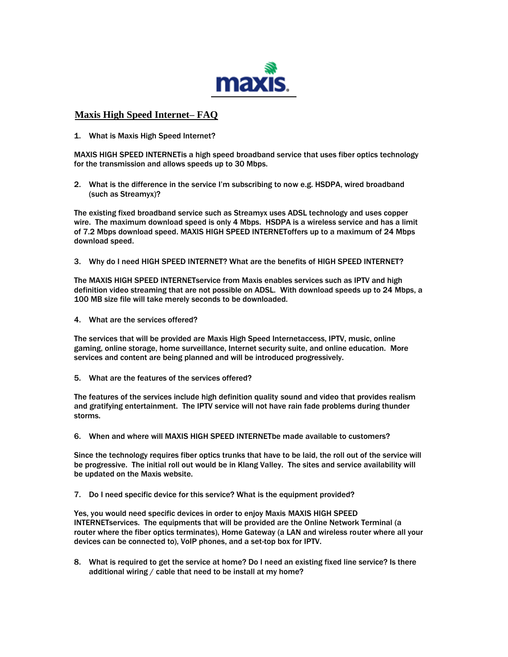

## **Maxis High Speed Internet– FAQ**

1. What is Maxis High Speed Internet?

MAXIS HIGH SPEED INTERNETis a high speed broadband service that uses fiber optics technology for the transmission and allows speeds up to 30 Mbps.

2. What is the difference in the service I'm subscribing to now e.g. HSDPA, wired broadband (such as Streamyx)?

The existing fixed broadband service such as Streamyx uses ADSL technology and uses copper wire. The maximum download speed is only 4 Mbps. HSDPA is a wireless service and has a limit of 7.2 Mbps download speed. MAXIS HIGH SPEED INTERNEToffers up to a maximum of 24 Mbps download speed.

3. Why do I need HIGH SPEED INTERNET? What are the benefits of HIGH SPEED INTERNET?

The MAXIS HIGH SPEED INTERNETservice from Maxis enables services such as IPTV and high definition video streaming that are not possible on ADSL. With download speeds up to 24 Mbps, a 100 MB size file will take merely seconds to be downloaded.

4. What are the services offered?

The services that will be provided are Maxis High Speed Internetaccess, IPTV, music, online gaming, online storage, home surveillance, Internet security suite, and online education. More services and content are being planned and will be introduced progressively.

5. What are the features of the services offered?

The features of the services include high definition quality sound and video that provides realism and gratifying entertainment. The IPTV service will not have rain fade problems during thunder storms.

6. When and where will MAXIS HIGH SPEED INTERNETbe made available to customers?

Since the technology requires fiber optics trunks that have to be laid, the roll out of the service will be progressive. The initial roll out would be in Klang Valley. The sites and service availability will be updated on the Maxis website.

7. Do I need specific device for this service? What is the equipment provided?

Yes, you would need specific devices in order to enjoy Maxis MAXIS HIGH SPEED INTERNETservices. The equipments that will be provided are the Online Network Terminal (a router where the fiber optics terminates), Home Gateway (a LAN and wireless router where all your devices can be connected to), VoIP phones, and a set-top box for IPTV.

8. What is required to get the service at home? Do I need an existing fixed line service? Is there additional wiring / cable that need to be install at my home?